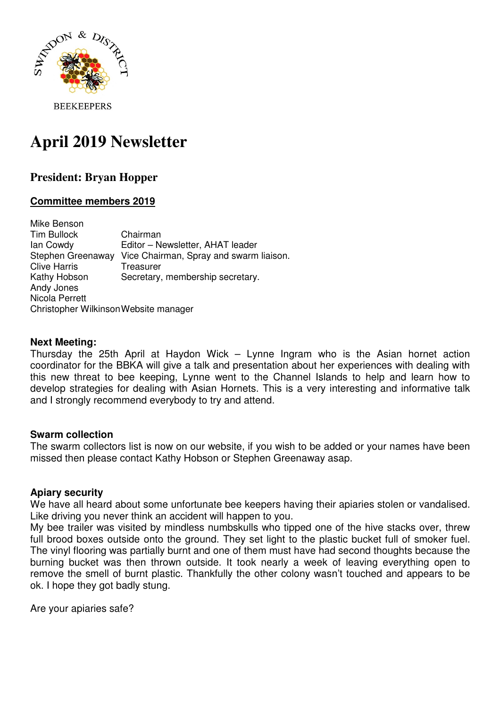

# **April 2019 Newsletter**

# **President: Bryan Hopper**

# **Committee members 2019**

Mike Benson Tim Bullock Chairman Ian Cowdy Editor – Newsletter, AHAT leader Stephen Greenaway Vice Chairman, Spray and swarm liaison. Clive Harris Treasurer Kathy Hobson Secretary, membership secretary. Andy Jones Nicola Perrett Christopher Wilkinson Website manager

#### **Next Meeting:**

Thursday the 25th April at Haydon Wick – Lynne Ingram who is the Asian hornet action coordinator for the BBKA will give a talk and presentation about her experiences with dealing with this new threat to bee keeping, Lynne went to the Channel Islands to help and learn how to develop strategies for dealing with Asian Hornets. This is a very interesting and informative talk and I strongly recommend everybody to try and attend.

# **Swarm collection**

The swarm collectors list is now on our website, if you wish to be added or your names have been missed then please contact Kathy Hobson or Stephen Greenaway asap.

#### **Apiary security**

We have all heard about some unfortunate bee keepers having their apiaries stolen or vandalised. Like driving you never think an accident will happen to you.

My bee trailer was visited by mindless numbskulls who tipped one of the hive stacks over, threw full brood boxes outside onto the ground. They set light to the plastic bucket full of smoker fuel. The vinyl flooring was partially burnt and one of them must have had second thoughts because the burning bucket was then thrown outside. It took nearly a week of leaving everything open to remove the smell of burnt plastic. Thankfully the other colony wasn't touched and appears to be ok. I hope they got badly stung.

Are your apiaries safe?